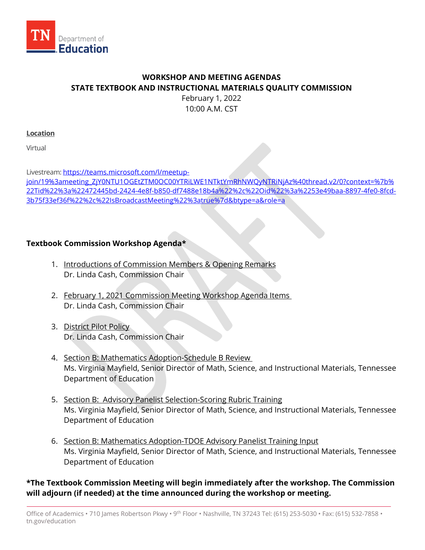

## **WORKSHOP AND MEETING AGENDAS STATE TEXTBOOK AND INSTRUCTIONAL MATERIALS QUALITY COMMISSION** February 1, 2022

10:00 A.M. CST

#### **Location**

Virtual

Livestream: [https://teams.microsoft.com/l/meetup-](https://teams.microsoft.com/l/meetup-join/19%3ameeting_ZjY0NTU1OGEtZTM0OC00YTRiLWE1NTktYmRhNWQyNTRiNjAz%40thread.v2/0?context=%7b%22Tid%22%3a%22472445bd-2424-4e8f-b850-df7488e18b4a%22%2c%22Oid%22%3a%2253e49baa-8897-4fe0-8fcd-3b75f33ef36f%22%2c%22IsBroadcastMeeting%22%3atrue%7d&btype=a&role=a)join/19%3ameeting\_ZjY0NTU1OGEt[ZTM0OC00YTRiLWE1NTktYmRhNWQyNTRiNjAz%40thread.v2/0?context=%7b%](https://teams.microsoft.com/l/meetup-join/19%3ameeting_ZjY0NTU1OGEtZTM0OC00YTRiLWE1NTktYmRhNWQyNTRiNjAz%40thread.v2/0?context=%7b%22Tid%22%3a%22472445bd-2424-4e8f-b850-df7488e18b4a%22%2c%22Oid%22%3a%2253e49baa-8897-4fe0-8fcd-3b75f33ef36f%22%2c%22IsBroadcastMeeting%22%3atrue%7d&btype=a&role=a) [22Tid%22%3a%22472445bd-2424-4e8f-b850-df7488e18b4a%22%2c%22Oid%22%3a%2253e49baa-8897-4fe0-8fcd-](https://teams.microsoft.com/l/meetup-join/19%3ameeting_ZjY0NTU1OGEtZTM0OC00YTRiLWE1NTktYmRhNWQyNTRiNjAz%40thread.v2/0?context=%7b%22Tid%22%3a%22472445bd-2424-4e8f-b850-df7488e18b4a%22%2c%22Oid%22%3a%2253e49baa-8897-4fe0-8fcd-3b75f33ef36f%22%2c%22IsBroadcastMeeting%22%3atrue%7d&btype=a&role=a)[3b75f33ef36f%22%2c%22IsBroadcastMeeting%22%3atrue%7d&btype=a&role=a](https://teams.microsoft.com/l/meetup-join/19%3ameeting_ZjY0NTU1OGEtZTM0OC00YTRiLWE1NTktYmRhNWQyNTRiNjAz%40thread.v2/0?context=%7b%22Tid%22%3a%22472445bd-2424-4e8f-b850-df7488e18b4a%22%2c%22Oid%22%3a%2253e49baa-8897-4fe0-8fcd-3b75f33ef36f%22%2c%22IsBroadcastMeeting%22%3atrue%7d&btype=a&role=a)

# **Textbook Commission Workshop Agenda\***

- 1. Introductions of Commission Members & Opening Remarks Dr. Linda Cash, Commission Chair
- 2. February 1, 2021 Commission Meeting Workshop Agenda Items Dr. Linda Cash, Commission Chair
- 3. District Pilot Policy Dr. Linda Cash, Commission Chair
- 4. Section B: Mathematics Adoption-Schedule B Review Ms. Virginia Mayfield, Senior Director of Math, Science, and Instructional Materials, Tennessee Department of Education
- 5. Section B: Advisory Panelist Selection-Scoring Rubric Training Ms. Virginia Mayfield, Senior Director of Math, Science, and Instructional Materials, Tennessee Department of Education
- 6. Section B: Mathematics Adoption-TDOE Advisory Panelist Training Input Ms. Virginia Mayfield, Senior Director of Math, Science, and Instructional Materials, Tennessee Department of Education

**\*The Textbook Commission Meeting will begin immediately after the workshop. The Commission will adjourn (if needed) at the time announced during the workshop or meeting.**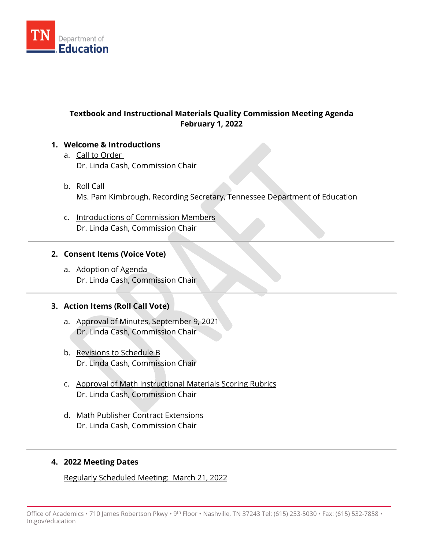

# **Textbook and Instructional Materials Quality Commission Meeting Agenda February 1, 2022**

### **1. Welcome & Introductions**

- a. Call to Order Dr. Linda Cash, Commission Chair
- b. Roll Call Ms. Pam Kimbrough, Recording Secretary, Tennessee Department of Education
- c. Introductions of Commission Members Dr. Linda Cash, Commission Chair

### **2. Consent Items (Voice Vote)**

a. Adoption of Agenda Dr. Linda Cash, Commission Chair

### **3. Action Items (Roll Call Vote)**

- a. Approval of Minutes, September 9, 2021 Dr. Linda Cash, Commission Chair
- b. Revisions to Schedule B Dr. Linda Cash, Commission Chair
- c. Approval of Math Instructional Materials Scoring Rubrics Dr. Linda Cash, Commission Chair
- d. Math Publisher Contract Extensions Dr. Linda Cash, Commission Chair

### **4. 2022 Meeting Dates**

Regularly Scheduled Meeting: March 21, 2022